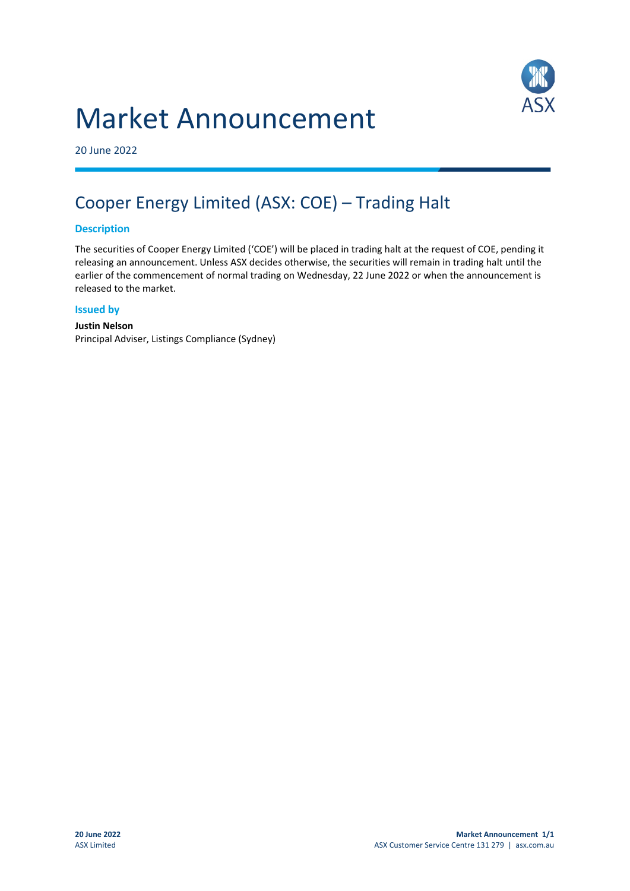# Market Announcement



20 June 2022

# Cooper Energy Limited (ASX: COE) – Trading Halt

### **Description**

The securities of Cooper Energy Limited ('COE') will be placed in trading halt at the request of COE, pending it releasing an announcement. Unless ASX decides otherwise, the securities will remain in trading halt until the earlier of the commencement of normal trading on Wednesday, 22 June 2022 or when the announcement is released to the market.

#### **Issued by**

#### **Justin Nelson** Principal Adviser, Listings Compliance (Sydney)